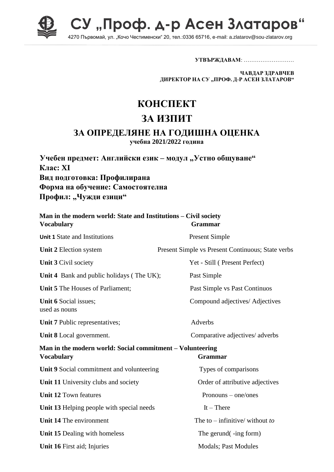

СУ "Проф. д-р Асен Златаров"

4270 Първомай, ул. "Кочо Честименски" 20, тел.:0336 65716, e-mail: a.zlatarov@sou-zlatarov.org

**УТВЪРЖДАВАМ**: ………………………

**ЧАВДАР ЗДРАВЧЕВ ДИРЕКТОР НА СУ "ПРОФ. Д-Р АСЕН ЗЛАТАРОВ"**

## **КОНСПЕКТ**

## **ЗА ИЗПИТ**

## **ЗА ОПРЕДЕЛЯНЕ НА ГОДИШНА ОЦЕНКА**

**учебна 2021/2022 година**

**Учебен предмет: Английски език – модул "Устно общуване" Клас: XI Вид подготовка: Профилирана Форма на обучение: Самостоятелна** Профил: "Чужди езици"

| Man in the modern world: State and Institutions - Civil society<br><b>Vocabulary</b>             | <b>Grammar</b>                                    |
|--------------------------------------------------------------------------------------------------|---------------------------------------------------|
| <b>Unit 1 State and Institutions</b>                                                             | <b>Present Simple</b>                             |
| Unit 2 Election system                                                                           | Present Simple vs Present Continuous; State verbs |
| Unit 3 Civil society                                                                             | Yet - Still (Present Perfect)                     |
| Unit 4 Bank and public holidays (The UK);                                                        | Past Simple                                       |
| Unit 5 The Houses of Parliament;                                                                 | Past Simple vs Past Continuos                     |
| Unit 6 Social issues;<br>used as nouns                                                           | Compound adjectives/ Adjectives                   |
| Unit 7 Public representatives;                                                                   | Adverbs                                           |
| Unit 8 Local government.                                                                         | Comparative adjectives/ adverbs                   |
| Man in the modern world: Social commitment - Volunteering<br><b>Vocabulary</b><br><b>Grammar</b> |                                                   |
| Unit 9 Social commitment and volunteering                                                        | Types of comparisons                              |
| Unit 11 University clubs and society                                                             | Order of attributive adjectives                   |
| <b>Unit 12 Town features</b>                                                                     | Pronouns – one/ones                               |
| Unit 13 Helping people with special needs                                                        | $It$ – There                                      |
| Unit 14 The environment                                                                          | The to – infinitive/ without to                   |
| Unit 15 Dealing with homeless                                                                    | The gerund(-ing form)                             |
| Unit 16 First aid; Injuries                                                                      | <b>Modals</b> ; Past Modules                      |